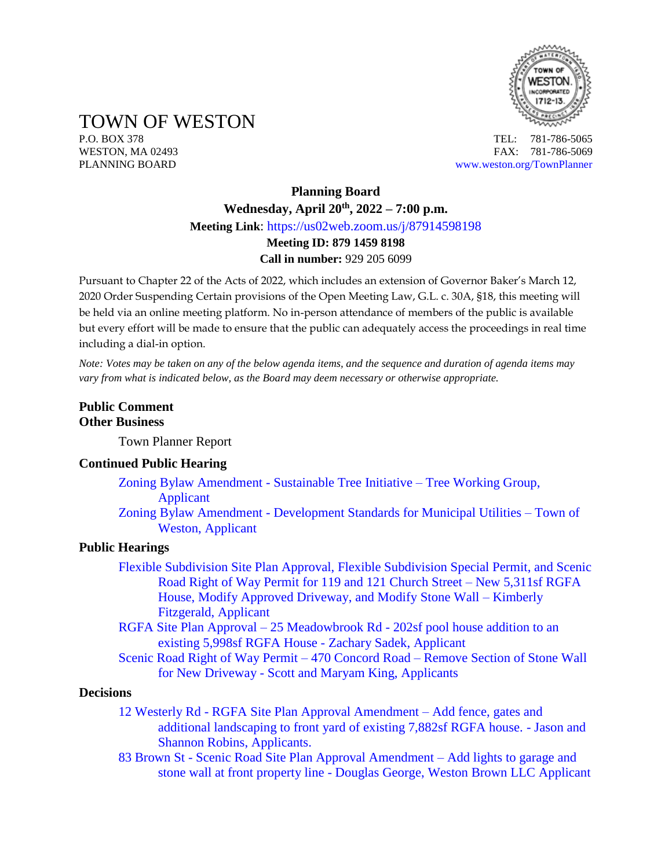

TOWN OF WESTON

P.O. BOX 378 TEL: 781-786-5065 WESTON, MA 02493 **FAX: 781-786-5069** PLANNING BOARD [www.weston.org/TownPlanner](http://www.weston.org/TownPlanner)

# **Planning Board Wednesday, April 20th , 2022 – 7:00 p.m. Meeting Link**: <https://us02web.zoom.us/j/87914598198> **Meeting ID: 879 1459 8198 Call in number:** 929 205 6099

Pursuant to Chapter 22 of the Acts of 2022, which includes an extension of Governor Baker's March 12, 2020 Order Suspending Certain provisions of the Open Meeting Law, G.L. c. 30A, §18, this meeting will be held via an online meeting platform. No in-person attendance of members of the public is available but every effort will be made to ensure that the public can adequately access the proceedings in real time including a dial-in option.

*Note: Votes may be taken on any of the below agenda items, and the sequence and duration of agenda items may vary from what is indicated below, as the Board may deem necessary or otherwise appropriate.*

## **Public Comment Other Business**

Town Planner Report

#### **Continued Public Hearing**

- [Zoning Bylaw Amendment -](https://www.westonma.gov/DocumentCenter/Index/2283) Sustainable Tree Initiative Tree Working Group, [Applicant](https://www.westonma.gov/DocumentCenter/Index/2283)
- Zoning Bylaw Amendment [Development Standards for Municipal Utilities –](https://www.westonma.gov/DocumentCenter/Index/4580) Town of [Weston, Applicant](https://www.westonma.gov/DocumentCenter/Index/4580)

#### **Public Hearings**

- [Flexible Subdivision Site Plan Approval, Flexible Subdivision Special Permit, and Scenic](https://www.westonma.gov/DocumentCenter/Index/4640)  [Road Right of Way Permit for 119 and 121 Church Street –](https://www.westonma.gov/DocumentCenter/Index/4640) New 5,311sf RGFA [House, Modify Approved Driveway, and Modify Stone Wall](https://www.westonma.gov/DocumentCenter/Index/4640) – Kimberly [Fitzgerald, Applicant](https://www.westonma.gov/DocumentCenter/Index/4640)
- RGFA Site Plan Approval 25 Meadowbrook Rd [202sf pool house addition to an](https://www.westonma.gov/DocumentCenter/Index/4639)  [existing 5,998sf RGFA House -](https://www.westonma.gov/DocumentCenter/Index/4639) Zachary Sadek, Applicant
- [Scenic Road Right of Way Permit –](https://www.westonma.gov/DocumentCenter/Index/4638) 470 Concord Road Remove Section of Stone Wall for New Driveway - [Scott and Maryam King, Applicants](https://www.westonma.gov/DocumentCenter/Index/4638)

#### **Decisions**

- 12 Westerly Rd [RGFA Site Plan Approval Amendment –](https://www.westonma.gov/DocumentCenter/Index/4627) Add fence, gates and [additional landscaping to front yard of existing 7,882sf RGFA house.](https://www.westonma.gov/DocumentCenter/Index/4627) - Jason and Shannon [Robins, Applicants.](https://www.westonma.gov/DocumentCenter/Index/4627)
- 83 Brown St [Scenic Road Site Plan Approval Amendment –](https://www.westonma.gov/DocumentCenter/Index/4512) Add lights to garage and stone wall at front property line - [Douglas George, Weston Brown LLC](https://www.westonma.gov/DocumentCenter/Index/4512) Applicant